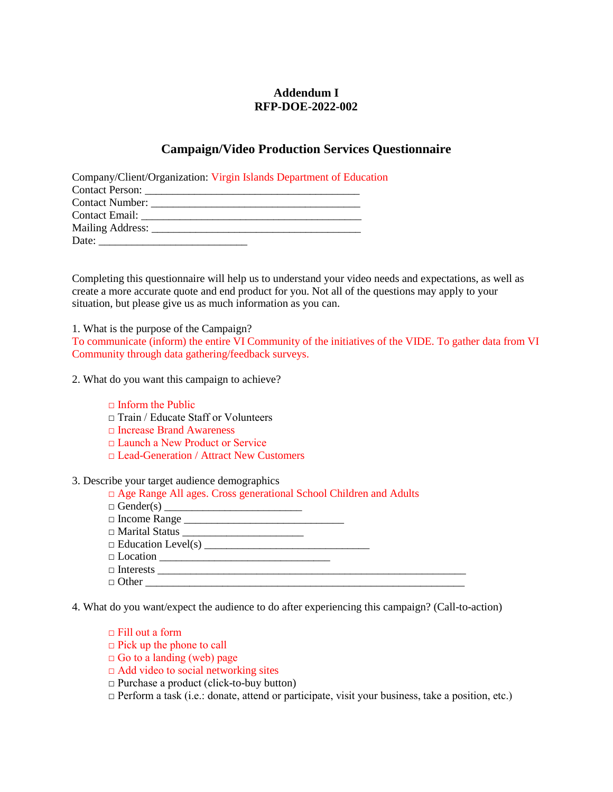## **Addendum I RFP-DOE-2022-002**

# **Campaign/Video Production Services Questionnaire**

Company/Client/Organization: Virgin Islands Department of Education Contact Person: \_\_\_\_\_\_\_\_\_\_\_\_\_\_\_\_\_\_\_\_\_\_\_\_\_\_\_\_\_\_\_\_\_\_\_\_\_\_\_ Contact Number: \_\_\_\_\_\_\_\_\_\_\_\_\_\_\_\_\_\_\_\_\_\_\_\_\_\_\_\_\_\_\_\_\_\_\_\_\_\_ Contact Email: \_\_\_\_\_\_\_\_\_\_\_\_\_\_\_\_\_\_\_\_\_\_\_\_\_\_\_\_\_\_\_\_\_\_\_\_\_\_\_\_ Mailing Address: \_\_\_\_\_\_\_\_\_\_\_\_\_\_\_\_\_\_\_\_\_\_\_\_\_\_\_\_\_\_\_\_\_\_\_\_\_\_ Date: \_\_\_\_\_\_\_\_\_\_\_\_\_\_\_\_\_\_\_\_\_\_\_\_\_\_\_

Completing this questionnaire will help us to understand your video needs and expectations, as well as create a more accurate quote and end product for you. Not all of the questions may apply to your situation, but please give us as much information as you can.

1. What is the purpose of the Campaign?

To communicate (inform) the entire VI Community of the initiatives of the VIDE. To gather data from VI Community through data gathering/feedback surveys.

2. What do you want this campaign to achieve?

 $\Box$  Inform the Public □ Train / Educate Staff or Volunteers □ Increase Brand Awareness □ Launch a New Product or Service □ Lead-Generation / Attract New Customers

3. Describe your target audience demographics

| □ Age Range All ages. Cross generational School Children and Adults |  |
|---------------------------------------------------------------------|--|
|                                                                     |  |
|                                                                     |  |
|                                                                     |  |
|                                                                     |  |
|                                                                     |  |
|                                                                     |  |
| $\Box$ Other                                                        |  |

4. What do you want/expect the audience to do after experiencing this campaign? (Call-to-action)

□ Fill out a form  $\Box$  Pick up the phone to call  $\Box$  Go to a landing (web) page □ Add video to social networking sites  $\Box$  Purchase a product (click-to-buy button)  $\Box$  Perform a task (i.e.: donate, attend or participate, visit your business, take a position, etc.)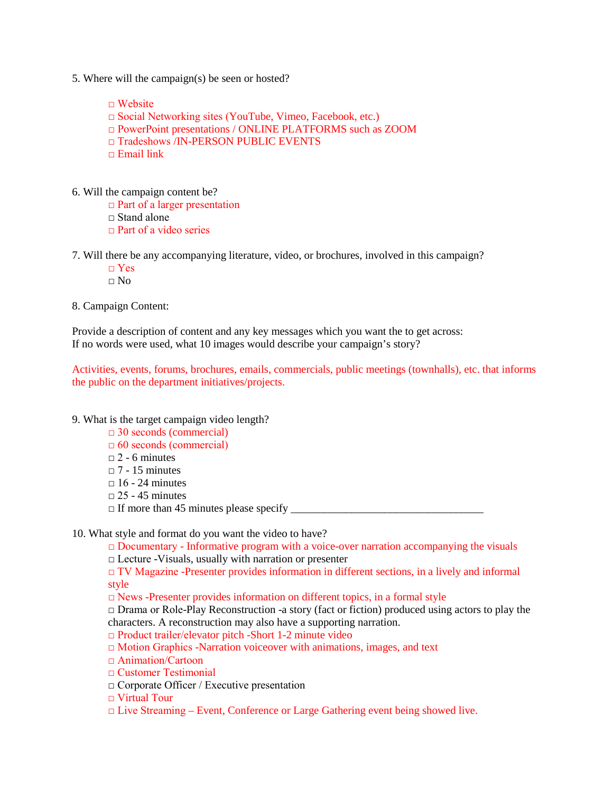5. Where will the campaign(s) be seen or hosted?

□ Website □ Social Networking sites (YouTube, Vimeo, Facebook, etc.) □ PowerPoint presentations / ONLINE PLATFORMS such as ZOOM □ Tradeshows /IN-PERSON PUBLIC EVENTS  $\Box$  Email link

- 6. Will the campaign content be?
	- $\Box$  Part of a larger presentation
	- $\Box$  Stand alone
	- $\Box$  Part of a video series
- 7. Will there be any accompanying literature, video, or brochures, involved in this campaign?
	- $\neg$  Yes
	- $\Box$  No
- 8. Campaign Content:

Provide a description of content and any key messages which you want the to get across: If no words were used, what 10 images would describe your campaign's story?

Activities, events, forums, brochures, emails, commercials, public meetings (townhalls), etc. that informs the public on the department initiatives/projects.

- 9. What is the target campaign video length?
	- □ 30 seconds (commercial)
	- □ 60 seconds (commercial)
	- $\Box$  2 6 minutes
	- $\Box$  7 15 minutes
	- $\Box$  16 24 minutes
	- $\Box$  25 45 minutes

 $\Box$  If more than 45 minutes please specify  $\Box$ 

10. What style and format do you want the video to have?

 $\Box$  Documentary - Informative program with a voice-over narration accompanying the visuals  $\Box$  Lecture -Visuals, usually with narration or presenter

□ TV Magazine -Presenter provides information in different sections, in a lively and informal style

 $\Box$  News -Presenter provides information on different topics, in a formal style

 $\Box$  Drama or Role-Play Reconstruction -a story (fact or fiction) produced using actors to play the characters. A reconstruction may also have a supporting narration.

□ Product trailer/elevator pitch -Short 1-2 minute video

 $\Box$  Motion Graphics -Narration voiceover with animations, images, and text

□ Animation/Cartoon

□ Customer Testimonial

□ Corporate Officer / Executive presentation

 $\Box$  Virtual Tour

 $\Box$  Live Streaming – Event, Conference or Large Gathering event being showed live.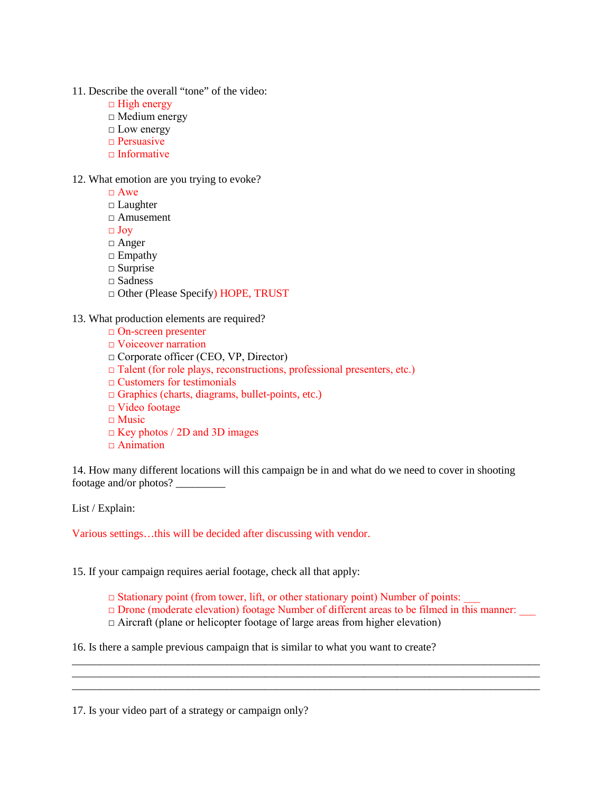11. Describe the overall "tone" of the video:

□ High energy

 $\Box$  Medium energy

□ Low energy

□ Persuasive

 $\Box$  Informative

12. What emotion are you trying to evoke?

□ Awe

□ Laughter

□ Amusement

 $\Box$  Joy

□ Anger

 $\square$  Empathy

 $\square$  Surprise

□ Sadness

□ Other (Please Specify) HOPE, TRUST

13. What production elements are required?

□ On-screen presenter

 $\Box$  Voiceover narration

□ Corporate officer (CEO, VP, Director)

 $\Box$  Talent (for role plays, reconstructions, professional presenters, etc.)

 $\Box$  Customers for testimonials

□ Graphics (charts, diagrams, bullet-points, etc.)

□ Video footage

□ Music

□ Key photos / 2D and 3D images

 $\Box$  Animation

14. How many different locations will this campaign be in and what do we need to cover in shooting footage and/or photos? \_\_\_\_\_\_\_\_\_

List / Explain:

Various settings…this will be decided after discussing with vendor.

15. If your campaign requires aerial footage, check all that apply:

 $\Box$  Stationary point (from tower, lift, or other stationary point) Number of points:

□ Drone (moderate elevation) footage Number of different areas to be filmed in this manner:

\_\_\_\_\_\_\_\_\_\_\_\_\_\_\_\_\_\_\_\_\_\_\_\_\_\_\_\_\_\_\_\_\_\_\_\_\_\_\_\_\_\_\_\_\_\_\_\_\_\_\_\_\_\_\_\_\_\_\_\_\_\_\_\_\_\_\_\_\_\_\_\_\_\_\_\_\_\_\_\_\_\_\_\_\_ \_\_\_\_\_\_\_\_\_\_\_\_\_\_\_\_\_\_\_\_\_\_\_\_\_\_\_\_\_\_\_\_\_\_\_\_\_\_\_\_\_\_\_\_\_\_\_\_\_\_\_\_\_\_\_\_\_\_\_\_\_\_\_\_\_\_\_\_\_\_\_\_\_\_\_\_\_\_\_\_\_\_\_\_\_ \_\_\_\_\_\_\_\_\_\_\_\_\_\_\_\_\_\_\_\_\_\_\_\_\_\_\_\_\_\_\_\_\_\_\_\_\_\_\_\_\_\_\_\_\_\_\_\_\_\_\_\_\_\_\_\_\_\_\_\_\_\_\_\_\_\_\_\_\_\_\_\_\_\_\_\_\_\_\_\_\_\_\_\_\_

 $\Box$  Aircraft (plane or helicopter footage of large areas from higher elevation)

16. Is there a sample previous campaign that is similar to what you want to create?

17. Is your video part of a strategy or campaign only?